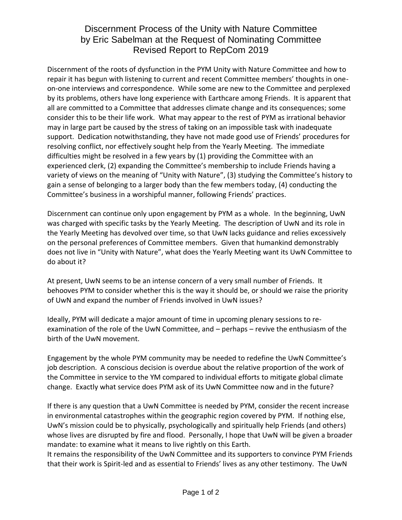## Discernment Process of the Unity with Nature Committee by Eric Sabelman at the Request of Nominating Committee Revised Report to RepCom 2019

Discernment of the roots of dysfunction in the PYM Unity with Nature Committee and how to repair it has begun with listening to current and recent Committee members' thoughts in oneon-one interviews and correspondence. While some are new to the Committee and perplexed by its problems, others have long experience with Earthcare among Friends. It is apparent that all are committed to a Committee that addresses climate change and its consequences; some consider this to be their life work. What may appear to the rest of PYM as irrational behavior may in large part be caused by the stress of taking on an impossible task with inadequate support. Dedication notwithstanding, they have not made good use of Friends' procedures for resolving conflict, nor effectively sought help from the Yearly Meeting. The immediate difficulties might be resolved in a few years by (1) providing the Committee with an experienced clerk, (2) expanding the Committee's membership to include Friends having a variety of views on the meaning of "Unity with Nature", (3) studying the Committee's history to gain a sense of belonging to a larger body than the few members today, (4) conducting the Committee's business in a worshipful manner, following Friends' practices.

Discernment can continue only upon engagement by PYM as a whole. In the beginning, UwN was charged with specific tasks by the Yearly Meeting. The description of UwN and its role in the Yearly Meeting has devolved over time, so that UwN lacks guidance and relies excessively on the personal preferences of Committee members. Given that humankind demonstrably does not live in "Unity with Nature", what does the Yearly Meeting want its UwN Committee to do about it?

At present, UwN seems to be an intense concern of a very small number of Friends. It behooves PYM to consider whether this is the way it should be, or should we raise the priority of UwN and expand the number of Friends involved in UwN issues?

Ideally, PYM will dedicate a major amount of time in upcoming plenary sessions to reexamination of the role of the UwN Committee, and – perhaps – revive the enthusiasm of the birth of the UwN movement.

Engagement by the whole PYM community may be needed to redefine the UwN Committee's job description. A conscious decision is overdue about the relative proportion of the work of the Committee in service to the YM compared to individual efforts to mitigate global climate change. Exactly what service does PYM ask of its UwN Committee now and in the future?

If there is any question that a UwN Committee is needed by PYM, consider the recent increase in environmental catastrophes within the geographic region covered by PYM. If nothing else, UwN's mission could be to physically, psychologically and spiritually help Friends (and others) whose lives are disrupted by fire and flood. Personally, I hope that UwN will be given a broader mandate: to examine what it means to live rightly on this Earth.

It remains the responsibility of the UwN Committee and its supporters to convince PYM Friends that their work is Spirit-led and as essential to Friends' lives as any other testimony. The UwN